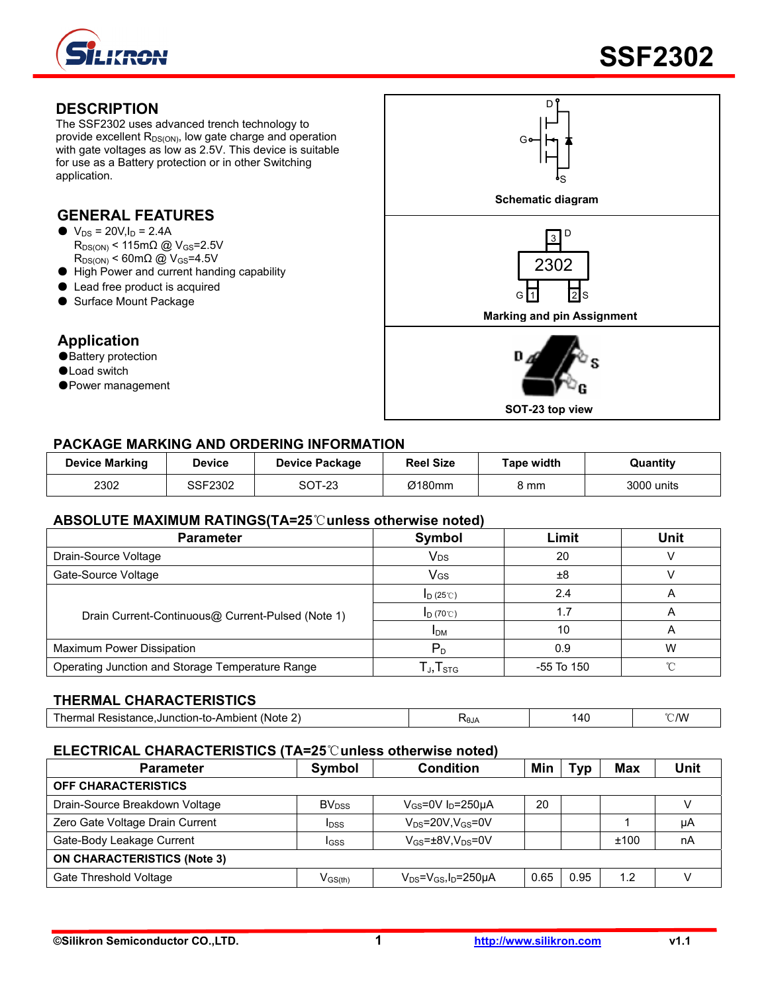

#### **DESCRIPTION**

The SSF2302 uses advanced trench technology to provide excellent  $R_{DS(ON)}$ , low gate charge and operation with gate voltages as low as 2.5V. This device is suitable for use as a Battery protection or in other Switching application.

# **GENERAL FEATURES**

- $\bullet$  V<sub>DS</sub> = 20V, I<sub>D</sub> = 2.4A  $R_{DS(ON)}$  < 115m $\Omega$  @ V<sub>GS</sub>=2.5V  $R_{DS(ON)}$  < 60m $\Omega$  @ V<sub>GS</sub>=4.5V
- High Power and current handing capability
- Lead free product is acquired
- Surface Mount Package

#### **Application**

- ●Battery protection
- ●Load switch
- Power management



#### **PACKAGE MARKING AND ORDERING INFORMATION**

| <b>Device Marking</b> | Device  | Device Package | <b>Reel Size</b> | Tape width | Quantity   |
|-----------------------|---------|----------------|------------------|------------|------------|
| 2302                  | SSF2302 | SOT-23         | Ø180mm           | mm         | 3000 units |

#### **ABSOLUTE MAXIMUM RATINGS(TA=25**℃**unless otherwise noted)**

| <b>Parameter</b>                                  | Symbol                  | Limit      | <b>Unit</b> |
|---------------------------------------------------|-------------------------|------------|-------------|
| Drain-Source Voltage                              | Vds                     | 20         |             |
| Gate-Source Voltage                               | Vgs                     | ±8         |             |
|                                                   | $I_D(25^\circ\text{C})$ | 2.4        |             |
| Drain Current-Continuous@ Current-Pulsed (Note 1) | $I_D$ (70°C)            | 1.7        |             |
|                                                   | <b>IDM</b>              | 10         |             |
| Maximum Power Dissipation                         | $\mathsf{P}_\mathsf{D}$ | 0.9        | w           |
| Operating Junction and Storage Temperature Range  | J, I STG                | -55 To 150 |             |

#### **THERMAL CHARACTERISTICS**

| $\sim$<br>Thermal Resistance.Junction-to-Ambient (Note,<br><u>.</u> | <b>RAIA</b><br>.our<br>. . | ۰Δ۲ | ℃/W |
|---------------------------------------------------------------------|----------------------------|-----|-----|
|---------------------------------------------------------------------|----------------------------|-----|-----|

#### **ELECTRICAL CHARACTERISTICS (TA=25**℃**unless otherwise noted)**

| <b>Parameter</b>                   | Symbol                   | <b>Condition</b>                        | Min  | Tvp  | <b>Max</b> | <b>Unit</b> |
|------------------------------------|--------------------------|-----------------------------------------|------|------|------------|-------------|
| <b>OFF CHARACTERISTICS</b>         |                          |                                         |      |      |            |             |
| Drain-Source Breakdown Voltage     | <b>BV</b> <sub>DSS</sub> | $V_{GS}$ =0V $I_D$ =250µA               | 20   |      |            |             |
| Zero Gate Voltage Drain Current    | <b>I</b> <sub>DSS</sub>  | $V_{DS}$ =20V.V $_{GS}$ =0V             |      |      |            | μA          |
| Gate-Body Leakage Current          | IGSS                     | $V_{GS}$ = $\pm$ 8V,V <sub>DS</sub> =0V |      |      | ±100       | nA          |
| <b>ON CHARACTERISTICS (Note 3)</b> |                          |                                         |      |      |            |             |
| Gate Threshold Voltage             | $V_{\rm GS(th)}$         | $V_{DS} = V_{GS}I_D = 250 \mu A$        | 0.65 | 0.95 | 1.2        |             |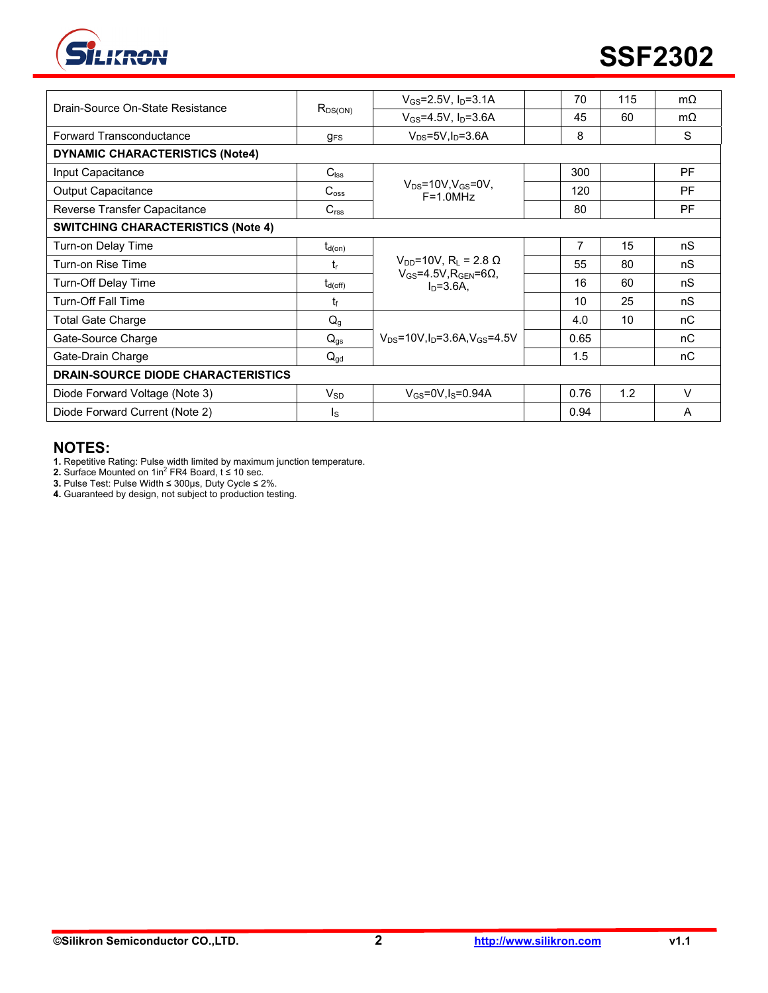

| Drain-Source On-State Resistance          | $R_{DS(ON)}$     | $V_{GS} = 2.5V$ , $I_D = 3.1A$                                                          | 70   | 115 | $m\Omega$ |
|-------------------------------------------|------------------|-----------------------------------------------------------------------------------------|------|-----|-----------|
|                                           |                  | $V_{GS} = 4.5V, I_D = 3.6A$                                                             | 45   | 60  | $m\Omega$ |
| Forward Transconductance                  | $g_{FS}$         | $V_{DS} = 5V I_D = 3.6A$                                                                | 8    |     | S         |
| <b>DYNAMIC CHARACTERISTICS (Note4)</b>    |                  |                                                                                         |      |     |           |
| Input Capacitance                         | $C_{\text{lss}}$ |                                                                                         | 300  |     | <b>PF</b> |
| <b>Output Capacitance</b>                 | $C_{\rm oss}$    | $V_{DS}$ =10V, $V_{GS}$ =0V,<br>$F = 1.0$ MHz                                           | 120  |     | <b>PF</b> |
| Reverse Transfer Capacitance              | C <sub>rss</sub> |                                                                                         | 80   |     | <b>PF</b> |
| <b>SWITCHING CHARACTERISTICS (Note 4)</b> |                  |                                                                                         |      |     |           |
| Turn-on Delay Time                        | $t_{\sf d(on)}$  |                                                                                         | 7    | 15  | nS        |
| Turn-on Rise Time                         | t,               | $V_{DD}$ =10V, R <sub>L</sub> = 2.8 Ω<br>$V_{GS}$ =4.5V, R <sub>GEN</sub> =6 $\Omega$ , | 55   | 80  | nS        |
| Turn-Off Delay Time                       | $t_{d(off)}$     | $In=3.6A.$                                                                              | 16   | 60  | nS        |
| <b>Turn-Off Fall Time</b>                 | t£               |                                                                                         | 10   | 25  | nS        |
| Total Gate Charge                         | $Q_g$            |                                                                                         | 4.0  | 10  | nC        |
| Gate-Source Charge                        | $Q_{gs}$         | $V_{DS} = 10V \cdot$ In=3.6A.V $_{GS} = 4.5V$                                           | 0.65 |     | nC        |
| Gate-Drain Charge                         | $Q_{gd}$         |                                                                                         | 1.5  |     | пC        |
| <b>DRAIN-SOURCE DIODE CHARACTERISTICS</b> |                  |                                                                                         |      |     |           |
| Diode Forward Voltage (Note 3)            | $V_{SD}$         | $V_{GS}$ =0V, $I_S$ =0.94A                                                              | 0.76 | 1.2 | $\vee$    |
| Diode Forward Current (Note 2)            | Is               |                                                                                         | 0.94 |     | A         |

#### **NOTES:**

**1.** Repetitive Rating: Pulse width limited by maximum junction temperature.<br>**2.** Surface Mounted on 1in<sup>2</sup> FR4 Board, t ≤ 10 sec.

**3.** Pulse Test: Pulse Width ≤ 300μs, Duty Cycle ≤ 2%.

**4.** Guaranteed by design, not subject to production testing.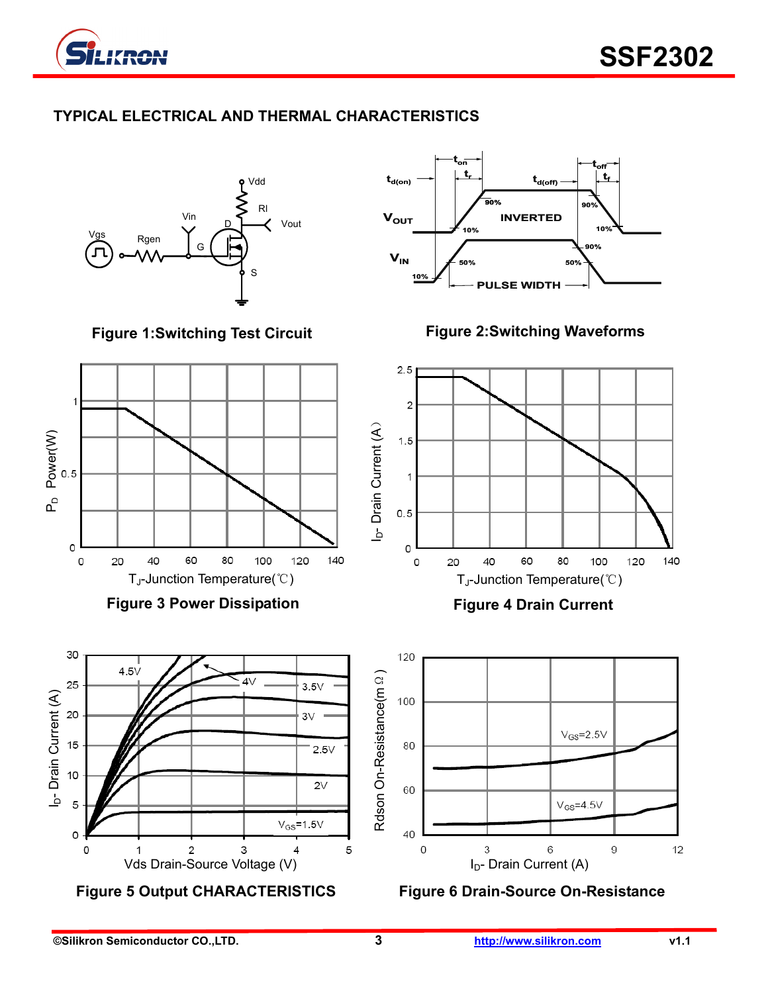

# **TYPICAL ELECTRICAL AND THERMAL CHARACTERISTICS**

Rgen Vin G Vdd Rl Vout S  $\overline{\mathsf{D}}$ 

**Figure 1:Switching Test Circuit** 



**Figure 3 Power Dissipation** 





**Figure 2:Switching Waveforms** 



**Figure 4 Drain Current** 



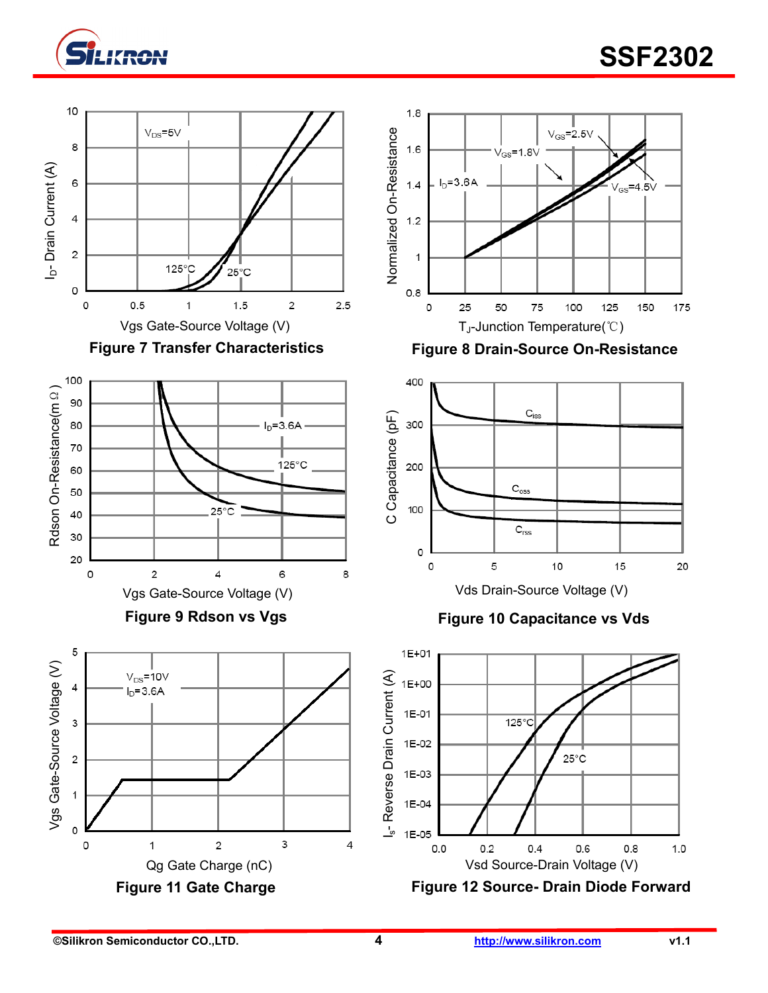

# **SSF2302**







**Figure 9 Rdson vs Vgs** 





Figure 7 Transfer Characteristics **Figure 8 Drain-Source On-Resistance** 



**Figure 10 Capacitance vs Vds** 

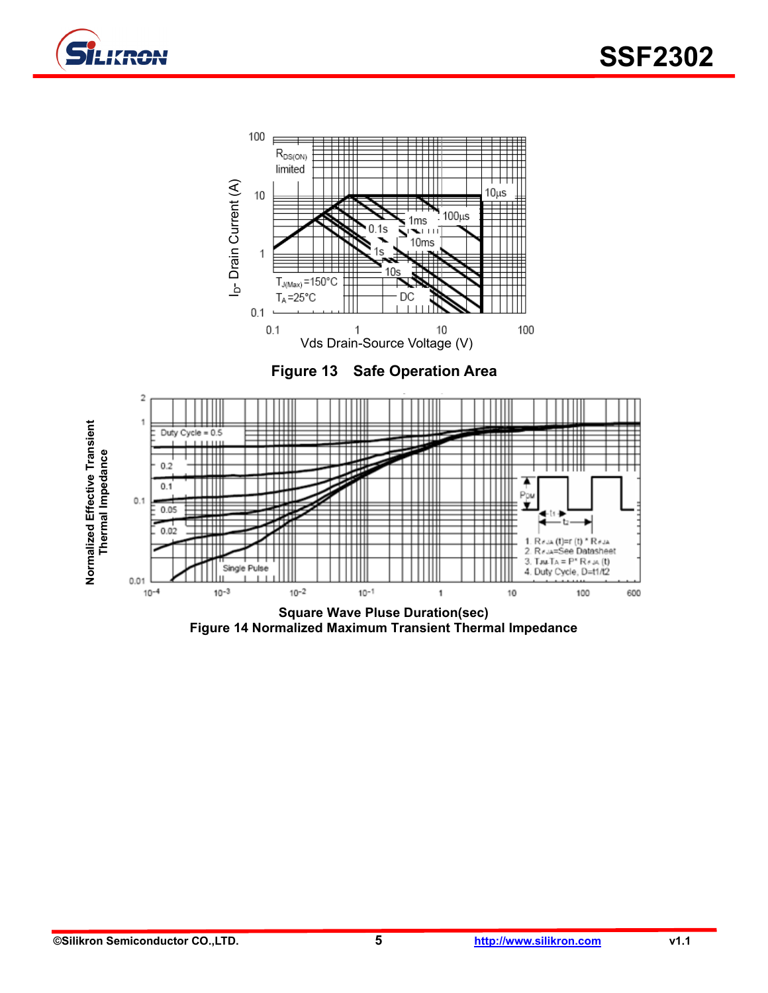







**Figure 14 Normalized Maximum Transient Thermal Impedance**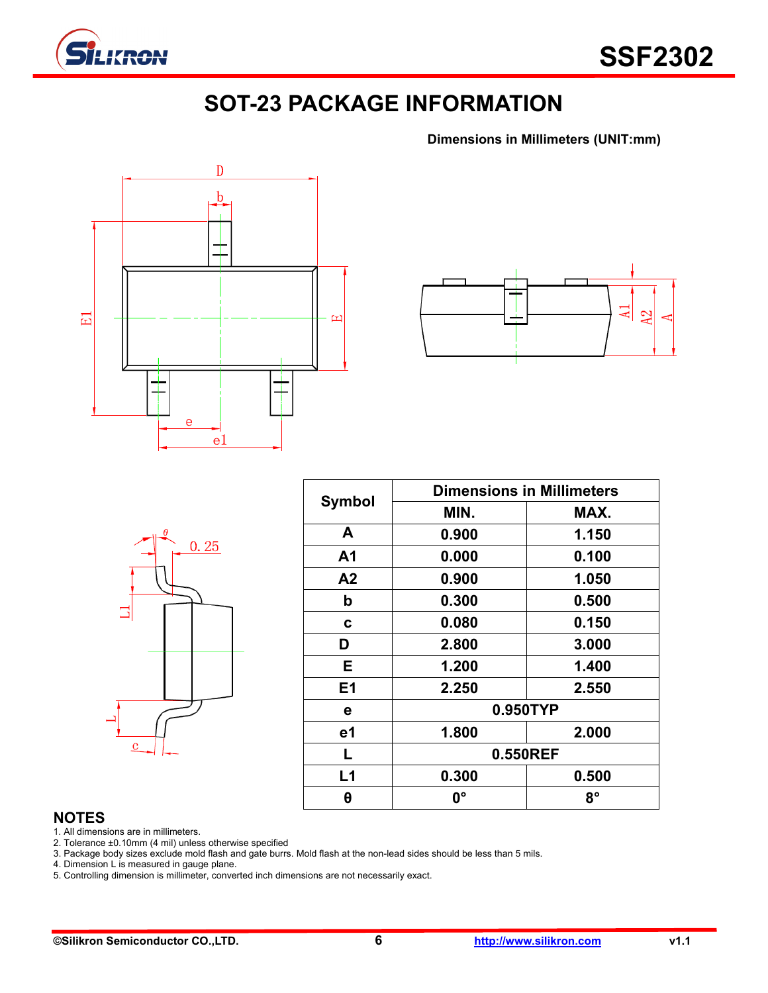

# **SOT-23 PACKAGE INFORMATION**

**Dimensions in Millimeters (UNIT:mm)**





|         | $\theta$ | 0.25 |  |
|---------|----------|------|--|
|         |          |      |  |
| $\bf c$ |          |      |  |

| <b>Symbol</b>  | <b>Dimensions in Millimeters</b> |       |  |  |  |
|----------------|----------------------------------|-------|--|--|--|
|                | MIN.                             | MAX.  |  |  |  |
| A              | 0.900                            | 1.150 |  |  |  |
| A <sub>1</sub> | 0.000                            | 0.100 |  |  |  |
| A2             | 0.900                            | 1.050 |  |  |  |
| b              | 0.300                            | 0.500 |  |  |  |
| C              | 0.080                            | 0.150 |  |  |  |
| D              | 2.800                            | 3.000 |  |  |  |
| E.             | 1.200                            | 1.400 |  |  |  |
| E <sub>1</sub> | 2.250                            | 2.550 |  |  |  |
| е              | 0.950TYP                         |       |  |  |  |
| e1             | 1.800                            | 2.000 |  |  |  |
| L              | 0.550REF                         |       |  |  |  |
| L1             | 0.300                            | 0.500 |  |  |  |
| θ              | <b>0°</b>                        | 8°    |  |  |  |

#### **NOTES**

1. All dimensions are in millimeters.

2. Tolerance ±0.10mm (4 mil) unless otherwise specified

3. Package body sizes exclude mold flash and gate burrs. Mold flash at the non-lead sides should be less than 5 mils.

4. Dimension L is measured in gauge plane.

5. Controlling dimension is millimeter, converted inch dimensions are not necessarily exact.